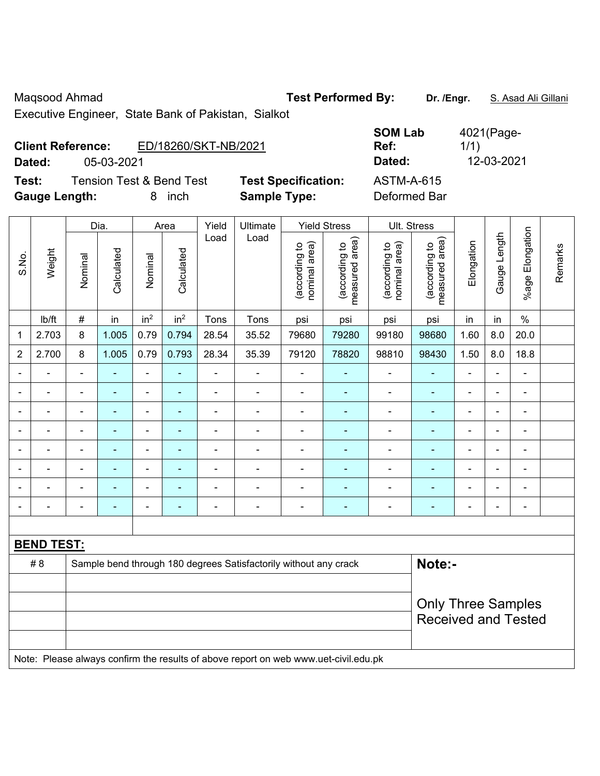Maqsood Ahmad **Test Performed By: Dr. /Engr.** S. Asad Ali Gillani

Executive Engineer, State Bank of Pakistan, Sialkot

|        | <b>Client Reference:</b><br>ED/18260/SKT-NB/2021 |                            | <b>998 EUM</b><br>Ref: | $10 - 11 - 990$<br>1/1) |
|--------|--------------------------------------------------|----------------------------|------------------------|-------------------------|
| Dated: | 05-03-2021                                       |                            | Dated:                 | 12-03-2021              |
| Test:  | <b>Tension Test &amp; Bend Test</b>              | <b>Test Specification:</b> | ASTM-A-615             |                         |

**Gauge Length:** 8 inch **Sample Type:** Deformed Bar

| <b>SOM Lab</b><br>Ref: | 4021(Page-<br>1/1) |
|------------------------|--------------------|
| Dated:                 | 12-03-2021         |
| ASTM-A-615             |                    |

|                |                          | Dia.                     |                | Area                     | Yield                    | Ultimate       |                                                                  | <b>Yield Stress</b>            |                                 | Ult. Stress                    |                                             |                |                |                 |         |
|----------------|--------------------------|--------------------------|----------------|--------------------------|--------------------------|----------------|------------------------------------------------------------------|--------------------------------|---------------------------------|--------------------------------|---------------------------------------------|----------------|----------------|-----------------|---------|
| S.No.          | Weight                   | Nominal                  | Calculated     | Nominal                  | Calculated               | Load           | Load                                                             | nominal area)<br>(according to | measured area)<br>(according to | (according to<br>nominal area) | (according to<br>neasured area)<br>measured | Elongation     | Gauge Length   | %age Elongation | Remarks |
|                | lb/ft                    | #                        | in             | in <sup>2</sup>          | in <sup>2</sup>          | Tons           | Tons                                                             | psi                            | psi                             | psi                            | psi                                         | in             | in             | $\%$            |         |
| 1              | 2.703                    | 8                        | 1.005          | 0.79                     | 0.794                    | 28.54          | 35.52                                                            | 79680                          | 79280                           | 99180                          | 98680                                       | 1.60           | 8.0            | 20.0            |         |
| $\overline{2}$ | 2.700                    | 8                        | 1.005          | 0.79                     | 0.793                    | 28.34          | 35.39                                                            | 79120                          | 78820                           | 98810                          | 98430                                       | 1.50           | 8.0            | 18.8            |         |
| $\blacksquare$ |                          | $\blacksquare$           | $\blacksquare$ | $\blacksquare$           | ٠                        | ä,             | $\blacksquare$                                                   | $\blacksquare$                 | ٠                               | $\qquad \qquad \blacksquare$   | $\blacksquare$                              | $\blacksquare$ | $\blacksquare$ | $\blacksquare$  |         |
|                |                          |                          |                | $\blacksquare$           | ٠                        | $\blacksquare$ | $\blacksquare$                                                   | $\blacksquare$                 |                                 | $\overline{\phantom{0}}$       | $\blacksquare$                              | Ē,             | $\blacksquare$ |                 |         |
| $\blacksquare$ |                          | $\blacksquare$           | $\blacksquare$ | $\blacksquare$           | $\blacksquare$           | $\blacksquare$ | $\blacksquare$                                                   | $\blacksquare$                 | $\blacksquare$                  | $\blacksquare$                 | $\blacksquare$                              | Ē,             | $\blacksquare$ | $\blacksquare$  |         |
| $\blacksquare$ | $\overline{\phantom{0}}$ | $\blacksquare$           | $\blacksquare$ | $\blacksquare$           | $\blacksquare$           | ä,             | $\blacksquare$                                                   | $\blacksquare$                 | ٠                               | $\blacksquare$                 | $\blacksquare$                              | $\blacksquare$ | $\blacksquare$ | $\blacksquare$  |         |
| $\blacksquare$ |                          | $\blacksquare$           | ٠              | $\blacksquare$           | ٠                        | $\blacksquare$ | $\blacksquare$                                                   | $\blacksquare$                 | ٠                               | ۰                              | -                                           | $\blacksquare$ | $\blacksquare$ | $\blacksquare$  |         |
| $\blacksquare$ |                          | ٠                        | $\blacksquare$ | $\blacksquare$           | $\blacksquare$           | $\blacksquare$ | $\blacksquare$                                                   | $\blacksquare$                 | ٠                               | ۰                              | ۰                                           | $\blacksquare$ | $\blacksquare$ | $\blacksquare$  |         |
|                |                          | $\overline{\phantom{a}}$ | $\blacksquare$ | $\overline{\phantom{a}}$ | $\overline{\phantom{0}}$ | $\blacksquare$ | $\blacksquare$                                                   | $\blacksquare$                 | ٠                               | $\blacksquare$                 | $\blacksquare$                              | $\blacksquare$ | $\blacksquare$ | $\blacksquare$  |         |
| $\blacksquare$ |                          | $\blacksquare$           | ٠              | $\blacksquare$           | ٠                        | $\blacksquare$ | $\overline{\phantom{0}}$                                         | $\blacksquare$                 | ٠                               | $\qquad \qquad \blacksquare$   | $\blacksquare$                              | $\blacksquare$ | $\blacksquare$ | $\blacksquare$  |         |
|                |                          |                          |                |                          |                          |                |                                                                  |                                |                                 |                                |                                             |                |                |                 |         |
|                | <b>BEND TEST:</b>        |                          |                |                          |                          |                |                                                                  |                                |                                 |                                |                                             |                |                |                 |         |
|                | #8                       |                          |                |                          |                          |                | Sample bend through 180 degrees Satisfactorily without any crack |                                |                                 |                                | Note:-                                      |                |                |                 |         |
|                |                          |                          |                |                          |                          |                |                                                                  |                                |                                 |                                |                                             |                |                |                 |         |
|                |                          |                          |                |                          |                          |                |                                                                  |                                |                                 |                                | <b>Only Three Samples</b>                   |                |                |                 |         |
|                |                          |                          |                |                          |                          |                |                                                                  |                                |                                 |                                | <b>Received and Tested</b>                  |                |                |                 |         |
|                |                          |                          |                |                          |                          |                |                                                                  |                                |                                 |                                |                                             |                |                |                 |         |

Note: Please always confirm the results of above report on web www.uet-civil.edu.pk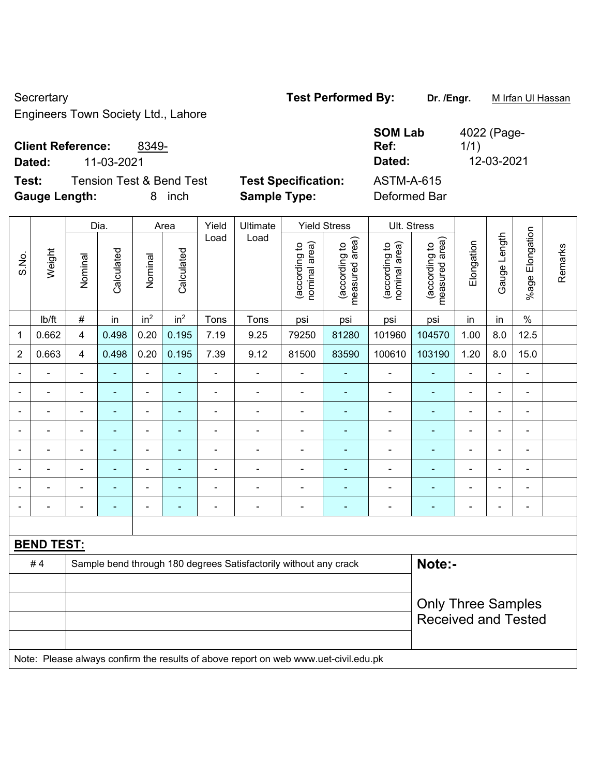Secrertary **Test Performed By:** Dr. /Engr. **M Irfan Ul Hassan** 

Engineers Town Society Ltd., Lahore

## **Client Reference:** 8349-

**Dated:** 11-03-2021 **Dated:** 12-03-2021

**Test:** Tension Test & Bend Test **Test Specification: Gauge Length:** 8 inch **Sample Type:** Deformed Bar

| <b>SOM Lab</b>    | 4022 (Page- |
|-------------------|-------------|
| Ref:              | 1/1)        |
| Dated:            | 12-03-2021  |
| <b>ASTM-A-615</b> |             |

|                          |                   |                | Dia.           |                          | Area                     | Yield          | Ultimate                                                                            |                                | <b>Yield Stress</b>             |                                | Ult. Stress                     |                          |                |                          |         |
|--------------------------|-------------------|----------------|----------------|--------------------------|--------------------------|----------------|-------------------------------------------------------------------------------------|--------------------------------|---------------------------------|--------------------------------|---------------------------------|--------------------------|----------------|--------------------------|---------|
| S.No.                    | Weight            | Nominal        | Calculated     | Nominal                  | Calculated               | Load           | Load                                                                                | nominal area)<br>(according to | (according to<br>measured area) | (according to<br>nominal area) | (according to<br>measured area) | Elongation               | Gauge Length   | Elongation<br>$%$ age I  | Remarks |
|                          | Ib/ft             | $\#$           | in             | in <sup>2</sup>          | in <sup>2</sup>          | Tons           | Tons                                                                                | psi                            | psi                             | psi                            | psi                             | in                       | in             | $\frac{0}{0}$            |         |
| 1                        | 0.662             | $\overline{4}$ | 0.498          | 0.20                     | 0.195                    | 7.19           | 9.25                                                                                | 79250                          | 81280                           | 101960                         | 104570                          | 1.00                     | 8.0            | 12.5                     |         |
| $\overline{2}$           | 0.663             | $\overline{4}$ | 0.498          | 0.20                     | 0.195                    | 7.39           | 9.12                                                                                | 81500                          | 83590                           | 100610                         | 103190                          | 1.20                     | 8.0            | 15.0                     |         |
|                          |                   | $\blacksquare$ |                | ÷,                       |                          | ä,             | $\blacksquare$                                                                      |                                |                                 | ä,                             | ä,                              |                          | $\blacksquare$ | $\blacksquare$           |         |
| $\blacksquare$           |                   | $\blacksquare$ | $\blacksquare$ | $\blacksquare$           | $\overline{\phantom{a}}$ | $\blacksquare$ | $\blacksquare$                                                                      | $\blacksquare$                 | $\blacksquare$                  | $\overline{\phantom{a}}$       | ٠                               | $\blacksquare$           | $\blacksquare$ | $\overline{\phantom{a}}$ |         |
| $\overline{\phantom{a}}$ |                   | $\blacksquare$ | $\blacksquare$ | $\overline{\phantom{a}}$ | $\blacksquare$           | ä,             | $\frac{1}{2}$                                                                       | $\blacksquare$                 | $\blacksquare$                  | $\overline{\phantom{a}}$       | ÷                               | $\overline{\phantom{a}}$ | $\blacksquare$ | $\blacksquare$           |         |
|                          | $\blacksquare$    | $\blacksquare$ | $\blacksquare$ | $\overline{\phantom{a}}$ | $\overline{\phantom{a}}$ | ÷              | ÷                                                                                   | ÷,                             | ÷,                              | $\blacksquare$                 | ÷                               | $\blacksquare$           | $\blacksquare$ | $\blacksquare$           |         |
| $\blacksquare$           | $\blacksquare$    | $\blacksquare$ | $\blacksquare$ | $\blacksquare$           | $\blacksquare$           | ä,             | $\frac{1}{2}$                                                                       | $\blacksquare$                 | $\blacksquare$                  | ä,                             | ÷,                              | $\blacksquare$           | $\overline{a}$ | $\blacksquare$           |         |
|                          |                   |                |                | $\blacksquare$           |                          |                |                                                                                     |                                | ÷                               |                                |                                 |                          |                | $\blacksquare$           |         |
|                          |                   |                |                | $\overline{\phantom{0}}$ |                          |                | $\blacksquare$                                                                      | $\blacksquare$                 | ä,                              | $\blacksquare$                 | ÷                               |                          |                | $\blacksquare$           |         |
| $\blacksquare$           |                   | ä,             | $\blacksquare$ | $\blacksquare$           | $\blacksquare$           | $\blacksquare$ | ä,                                                                                  | $\blacksquare$                 | ÷                               | $\blacksquare$                 | ÷                               | $\blacksquare$           | ä,             | $\blacksquare$           |         |
|                          |                   |                |                |                          |                          |                |                                                                                     |                                |                                 |                                |                                 |                          |                |                          |         |
|                          | <b>BEND TEST:</b> |                |                |                          |                          |                |                                                                                     |                                |                                 |                                |                                 |                          |                |                          |         |
|                          | #4                |                |                |                          |                          |                | Sample bend through 180 degrees Satisfactorily without any crack                    |                                |                                 |                                | Note:-                          |                          |                |                          |         |
|                          |                   |                |                |                          |                          |                |                                                                                     |                                |                                 |                                |                                 |                          |                |                          |         |
|                          |                   |                |                |                          |                          |                |                                                                                     |                                |                                 |                                | <b>Only Three Samples</b>       |                          |                |                          |         |
|                          |                   |                |                |                          |                          |                |                                                                                     |                                |                                 |                                | <b>Received and Tested</b>      |                          |                |                          |         |
|                          |                   |                |                |                          |                          |                |                                                                                     |                                |                                 |                                |                                 |                          |                |                          |         |
|                          |                   |                |                |                          |                          |                | Note: Please always confirm the results of above report on web www.uet-civil.edu.pk |                                |                                 |                                |                                 |                          |                |                          |         |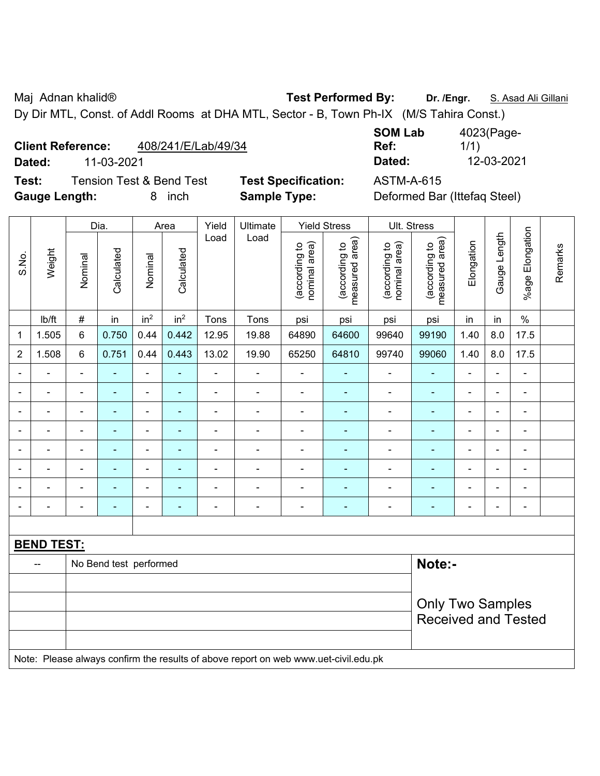Maj Adnan khalid® **Test Performed By: Dr. /Engr.** S. Asad Ali Gillani

Dy Dir MTL, Const. of Addl Rooms at DHA MTL, Sector - B, Town Ph-IX (M/S Tahira Const.)

#### **Client Reference:** 408/241/E/Lab/49/34

**Test:** Tension Test & Bend Test **Test Specification:** ASTM-A-615 **Gauge Length:** 8 inch **Sample Type:** Deformed Bar (Ittefaq Steel)

**SOM Lab Ref:**  4023(Page-1/1) **Dated:** 11-03-2021 **Dated:** 12-03-2021

|                |                   |                | Dia.                   |                          | Area                     | Yield          | Ultimate                                                                            |                                | <b>Yield Stress</b>             |                                | Ult. Stress                            |                |                |                      |         |
|----------------|-------------------|----------------|------------------------|--------------------------|--------------------------|----------------|-------------------------------------------------------------------------------------|--------------------------------|---------------------------------|--------------------------------|----------------------------------------|----------------|----------------|----------------------|---------|
| S.No.          | Weight            | Nominal        | Calculated             | Nominal                  | Calculated               | Load           | Load                                                                                | nominal area)<br>(according to | measured area)<br>(according to | nominal area)<br>(according to | measured area)<br>(according to        | Elongation     | Gauge Length   | Elongation<br>%age l | Remarks |
|                | lb/ft             | $\#$           | in                     | in <sup>2</sup>          | in <sup>2</sup>          | Tons           | Tons                                                                                | psi                            | psi                             | psi                            | psi                                    | in             | in             | $\%$                 |         |
| 1              | 1.505             | $6\phantom{1}$ | 0.750                  | 0.44                     | 0.442                    | 12.95          | 19.88                                                                               | 64890                          | 64600                           | 99640                          | 99190                                  | 1.40           | 8.0            | 17.5                 |         |
| $\overline{2}$ | 1.508             | $\,6\,$        | 0.751                  | 0.44                     | 0.443                    | 13.02          | 19.90                                                                               | 65250                          | 64810                           | 99740                          | 99060                                  | 1.40           | 8.0            | 17.5                 |         |
|                |                   | $\blacksquare$ |                        | ÷,                       | ۰                        | ÷              | ÷,                                                                                  | ÷,                             | $\overline{\phantom{a}}$        | ÷,                             | $\blacksquare$                         | ä,             | $\blacksquare$ | $\blacksquare$       |         |
|                |                   |                | $\blacksquare$         | ÷                        |                          | $\blacksquare$ | ä,                                                                                  | $\overline{a}$                 | $\overline{\phantom{a}}$        | $\blacksquare$                 | $\blacksquare$                         | $\blacksquare$ |                | $\blacksquare$       |         |
|                |                   |                |                        | ۰                        |                          | $\blacksquare$ | $\blacksquare$                                                                      |                                |                                 | ä,                             | Ē.                                     |                |                | $\blacksquare$       |         |
|                |                   |                |                        | ÷                        |                          | $\blacksquare$ | $\blacksquare$                                                                      | Ē,                             |                                 | -                              | $\blacksquare$<br>Ē.<br>$\blacksquare$ |                |                |                      |         |
| $\overline{a}$ |                   | $\blacksquare$ | Ē,                     | $\overline{a}$           | ۰                        | ÷              | $\blacksquare$                                                                      | $\blacksquare$                 | $\blacksquare$                  | $\qquad \qquad \blacksquare$   | ÷                                      | $\blacksquare$ | $\blacksquare$ | $\blacksquare$       |         |
|                | $\blacksquare$    | $\blacksquare$ | $\blacksquare$         | $\overline{\phantom{0}}$ | $\overline{\phantom{0}}$ | ÷              | ÷,                                                                                  | $\overline{a}$                 | $\overline{\phantom{a}}$        | $\blacksquare$                 | $\blacksquare$                         | $\blacksquare$ | $\blacksquare$ | $\blacksquare$       |         |
| $\blacksquare$ | $\blacksquare$    | $\blacksquare$ | Ē,                     | $\frac{1}{2}$            | ۰                        | ÷              | ÷,                                                                                  | $\blacksquare$                 | $\blacksquare$                  | $\qquad \qquad \blacksquare$   | $\blacksquare$                         | $\blacksquare$ | $\blacksquare$ | $\blacksquare$       |         |
| $\blacksquare$ | $\blacksquare$    | $\blacksquare$ | $\blacksquare$         | $\blacksquare$           | ۰                        | ÷,             | ÷,                                                                                  | $\blacksquare$                 | $\blacksquare$                  | $\qquad \qquad \blacksquare$   | $\blacksquare$                         | ä,             | $\blacksquare$ | $\blacksquare$       |         |
|                |                   |                |                        |                          |                          |                |                                                                                     |                                |                                 |                                |                                        |                |                |                      |         |
|                | <b>BEND TEST:</b> |                |                        |                          |                          |                |                                                                                     |                                |                                 |                                |                                        |                |                |                      |         |
|                |                   |                | No Bend test performed |                          |                          |                |                                                                                     |                                |                                 |                                | Note:-                                 |                |                |                      |         |
|                |                   |                |                        |                          |                          |                |                                                                                     |                                |                                 |                                |                                        |                |                |                      |         |
|                |                   |                |                        |                          |                          |                |                                                                                     |                                |                                 |                                | <b>Only Two Samples</b>                |                |                |                      |         |
|                |                   |                |                        |                          |                          |                |                                                                                     |                                |                                 |                                | <b>Received and Tested</b>             |                |                |                      |         |
|                |                   |                |                        |                          |                          |                |                                                                                     |                                |                                 |                                |                                        |                |                |                      |         |
|                |                   |                |                        |                          |                          |                | Note: Please always confirm the results of above report on web www.uet-civil.edu.pk |                                |                                 |                                |                                        |                |                |                      |         |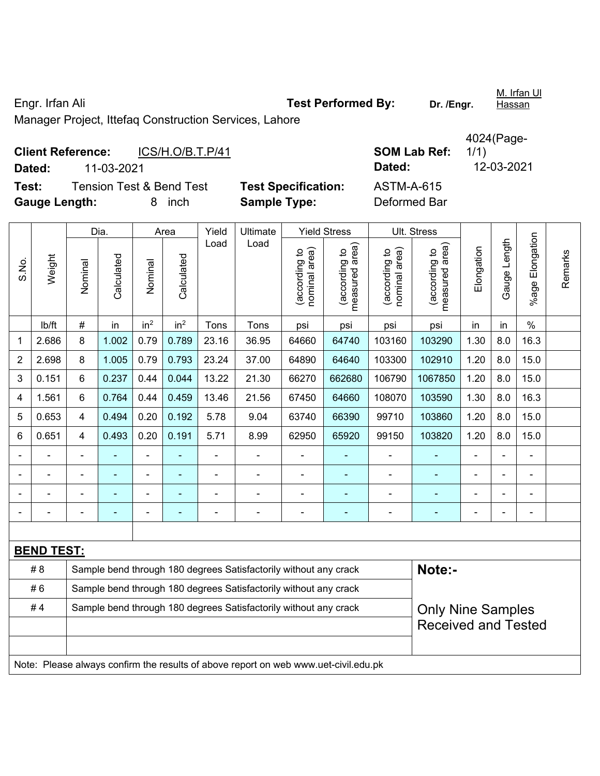Engr. Irfan Ali **Test Performed By: Dr. /Engr.**  Manager Project, Ittefaq Construction Services, Lahore

| <b>Client Reference:</b> |            | ICS/H.O/B.T.P/41                    |                            | <b>SOM Lab Ref:</b> | 1/1)       |
|--------------------------|------------|-------------------------------------|----------------------------|---------------------|------------|
| Dated:                   | 11-03-2021 |                                     |                            | Dated:              | 12-03-2021 |
| Test:                    |            | <b>Tension Test &amp; Bend Test</b> | <b>Test Specification:</b> | ASTM-A-615          |            |
| <b>Gauge Length:</b>     |            | inch                                | <b>Sample Type:</b>        | Deformed Bar        |            |

|                |                   |                | Dia.       |                 | Area                     | Yield | Ultimate                                                                            |                                   | <b>Yield Stress</b>             |                                | Ult. Stress                     |                |              |                          |         |
|----------------|-------------------|----------------|------------|-----------------|--------------------------|-------|-------------------------------------------------------------------------------------|-----------------------------------|---------------------------------|--------------------------------|---------------------------------|----------------|--------------|--------------------------|---------|
| S.No.          | Weight            | Nominal        | Calculated | Nominal         | Calculated               | Load  | Load                                                                                | (according to<br>area)<br>nominal | measured area)<br>(according to | nominal area)<br>(according to | measured area)<br>(according to | Elongation     | Gauge Length | %age Elongation          | Remarks |
|                | lb/ft             | $\#$           | in         | in <sup>2</sup> | in <sup>2</sup>          | Tons  | Tons                                                                                | psi                               | psi                             | psi                            | psi                             | in             | in           | $\%$                     |         |
| 1              | 2.686             | 8              | 1.002      | 0.79            | 0.789                    | 23.16 | 36.95                                                                               | 64660                             | 64740                           | 103160                         | 103290                          | 1.30           | 8.0          | 16.3                     |         |
| $\overline{2}$ | 2.698             | 8              | 1.005      | 0.79            | 0.793                    | 23.24 | 37.00                                                                               | 64890                             | 64640                           | 103300                         | 102910                          | 1.20           | 8.0          | 15.0                     |         |
| 3              | 0.151             | 6              | 0.237      | 0.44            | 0.044                    | 13.22 | 21.30                                                                               | 66270                             | 662680                          | 106790                         | 1067850                         | 1.20           | 8.0          | 15.0                     |         |
| 4              | 1.561             | 6              | 0.764      | 0.44            | 0.459                    | 13.46 | 21.56                                                                               | 67450                             | 64660                           | 108070                         | 103590                          | 1.30           | 8.0          | 16.3                     |         |
| 5              | 0.653             | 4              | 0.494      | 0.20            | 0.192                    | 5.78  | 9.04                                                                                | 63740                             | 66390                           | 99710                          | 103860                          | 1.20           | 8.0          | 15.0                     |         |
| 6              | 0.651             | 4              | 0.493      | 0.20            | 0.191                    | 5.71  | 8.99                                                                                | 62950                             | 65920                           | 99150                          | 103820                          | 1.20           | 8.0          | 15.0                     |         |
|                | ÷.                | $\blacksquare$ | ä,         | $\blacksquare$  | $\overline{\phantom{a}}$ | ä,    | $\blacksquare$                                                                      | $\blacksquare$                    | $\blacksquare$                  | $\overline{a}$                 | ä,                              | $\overline{a}$ |              | $\blacksquare$           |         |
|                |                   |                |            | $\blacksquare$  |                          |       |                                                                                     | $\blacksquare$                    | ٠                               |                                | ÷,                              | $\blacksquare$ |              | $\blacksquare$           |         |
|                |                   |                | ٠          |                 |                          |       | $\blacksquare$                                                                      | $\blacksquare$                    | ٠                               | ä,                             | ÷,                              | ÷.             |              |                          |         |
|                |                   |                |            |                 |                          |       |                                                                                     | $\blacksquare$                    | $\overline{\phantom{0}}$        | -                              | ۰                               |                |              | $\overline{\phantom{0}}$ |         |
|                |                   |                |            |                 |                          |       |                                                                                     |                                   |                                 |                                |                                 |                |              |                          |         |
|                | <b>BEND TEST:</b> |                |            |                 |                          |       |                                                                                     |                                   |                                 |                                |                                 |                |              |                          |         |
|                | # 8               |                |            |                 |                          |       | Sample bend through 180 degrees Satisfactorily without any crack                    |                                   |                                 |                                | Note:-                          |                |              |                          |         |
|                | #6                |                |            |                 |                          |       | Sample bend through 180 degrees Satisfactorily without any crack                    |                                   |                                 |                                |                                 |                |              |                          |         |
|                | #4                |                |            |                 |                          |       | Sample bend through 180 degrees Satisfactorily without any crack                    |                                   |                                 |                                | <b>Only Nine Samples</b>        |                |              |                          |         |
|                |                   |                |            |                 |                          |       |                                                                                     |                                   |                                 |                                | <b>Received and Tested</b>      |                |              |                          |         |
|                |                   |                |            |                 |                          |       |                                                                                     |                                   |                                 |                                |                                 |                |              |                          |         |
|                |                   |                |            |                 |                          |       | Note: Please always confirm the results of above report on web www.uet-civil.edu.pk |                                   |                                 |                                |                                 |                |              |                          |         |

**SOM Lab Ref:** 4024(Page-1/1) **Pesification:** ASTM-A-615

M. Irfan Ul **Hassan**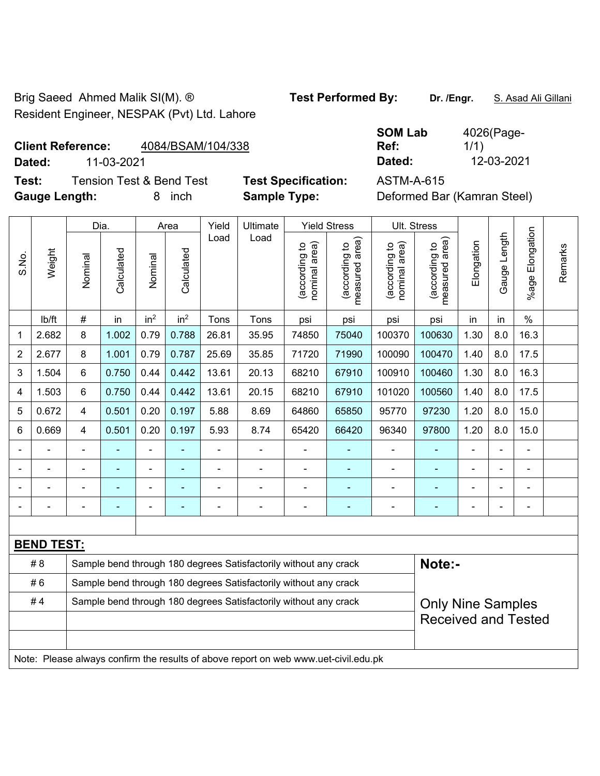Brig Saeed Ahmed Malik SI(M). ® **Test Performed By: Dr. /Engr.** S. Asad Ali Gillani Resident Engineer, NESPAK (Pvt) Ltd. Lahore

# **Client Reference:** 4084/BSAM/104/338

**Test:** Tension Test & Bend Test **Test Specification:** ASTM-A-615 **Gauge Length:** 8 inch **Sample Type:** Deformed Bar (Kamran Steel)

**SOM Lab Ref:**  4026(Page-1/1) **Dated:** 11-03-2021 **Dated:** 12-03-2021

|                |                   |                | Dia.           |                 | Area            | Yield | Ultimate                                                                            |                                | <b>Yield Stress</b>             |                                | Ult. Stress                     |            |                |                          |         |
|----------------|-------------------|----------------|----------------|-----------------|-----------------|-------|-------------------------------------------------------------------------------------|--------------------------------|---------------------------------|--------------------------------|---------------------------------|------------|----------------|--------------------------|---------|
| S.No.          | Weight            | Nominal        | Calculated     | Nominal         | Calculated      | Load  | Load                                                                                | nominal area)<br>(according to | (according to<br>measured area) | nominal area)<br>(according to | (according to<br>measured area) | Elongation | Gauge Length   | Elongation<br>%age l     | Remarks |
|                | Ib/ft             | #              | in             | in <sup>2</sup> | in <sup>2</sup> | Tons  | Tons                                                                                | psi                            | psi                             | psi                            | psi                             | in         | in             | $\%$                     |         |
| 1              | 2.682             | 8              | 1.002          | 0.79            | 0.788           | 26.81 | 35.95                                                                               | 74850                          | 75040                           | 100370                         | 100630                          | 1.30       | 8.0            | 16.3                     |         |
| $\overline{2}$ | 2.677             | 8              | 1.001          | 0.79            | 0.787           | 25.69 | 35.85                                                                               | 71720                          | 71990                           | 100090                         | 100470                          | 1.40       | 8.0            | 17.5                     |         |
| 3              | 1.504             | 6              | 0.750          | 0.44            | 0.442           | 13.61 | 20.13                                                                               | 68210                          | 67910                           | 100910                         | 100460                          | 1.30       | 8.0            | 16.3                     |         |
| $\overline{4}$ | 1.503             | 6              | 0.750          | 0.44            | 0.442           | 13.61 | 20.15                                                                               | 68210                          | 67910                           | 101020                         | 100560                          | 1.40       | 8.0            | 17.5                     |         |
| 5              | 0.672             | 4              | 0.501          | 0.20            | 0.197           | 5.88  | 8.69                                                                                | 64860                          | 65850                           | 95770                          | 97230                           | 1.20       | 8.0            | 15.0                     |         |
| 6              | 0.669             | 4              | 0.501          | 0.20            | 0.197           | 5.93  | 8.74                                                                                | 65420                          | 66420                           | 96340                          | 97800                           | 1.20       | 8.0            | 15.0                     |         |
|                |                   | $\blacksquare$ | $\blacksquare$ |                 |                 | ä,    | ä,                                                                                  | ä,                             |                                 | $\blacksquare$                 | ä,                              |            |                | $\blacksquare$           |         |
|                |                   |                | ä,             |                 |                 |       |                                                                                     | ÷                              |                                 | ÷                              | ä,                              |            |                | $\blacksquare$           |         |
|                |                   |                |                |                 |                 |       |                                                                                     | ä,                             |                                 |                                |                                 |            |                | L,                       |         |
|                |                   |                | ٠              | $\blacksquare$  |                 | Ē,    | $\blacksquare$                                                                      | ÷,                             | ÷,                              | ÷,                             | ÷                               | ÷,         | $\blacksquare$ | $\overline{\phantom{0}}$ |         |
|                |                   |                |                |                 |                 |       |                                                                                     |                                |                                 |                                |                                 |            |                |                          |         |
|                | <b>BEND TEST:</b> |                |                |                 |                 |       |                                                                                     |                                |                                 |                                |                                 |            |                |                          |         |
|                | # 8               |                |                |                 |                 |       | Sample bend through 180 degrees Satisfactorily without any crack                    |                                |                                 |                                | Note:-                          |            |                |                          |         |
|                | #6                |                |                |                 |                 |       | Sample bend through 180 degrees Satisfactorily without any crack                    |                                |                                 |                                |                                 |            |                |                          |         |
|                | #4                |                |                |                 |                 |       | Sample bend through 180 degrees Satisfactorily without any crack                    |                                |                                 |                                | <b>Only Nine Samples</b>        |            |                |                          |         |
|                |                   |                |                |                 |                 |       |                                                                                     |                                |                                 |                                | <b>Received and Tested</b>      |            |                |                          |         |
|                |                   |                |                |                 |                 |       |                                                                                     |                                |                                 |                                |                                 |            |                |                          |         |
|                |                   |                |                |                 |                 |       | Note: Please always confirm the results of above report on web www.uet-civil.edu.pk |                                |                                 |                                |                                 |            |                |                          |         |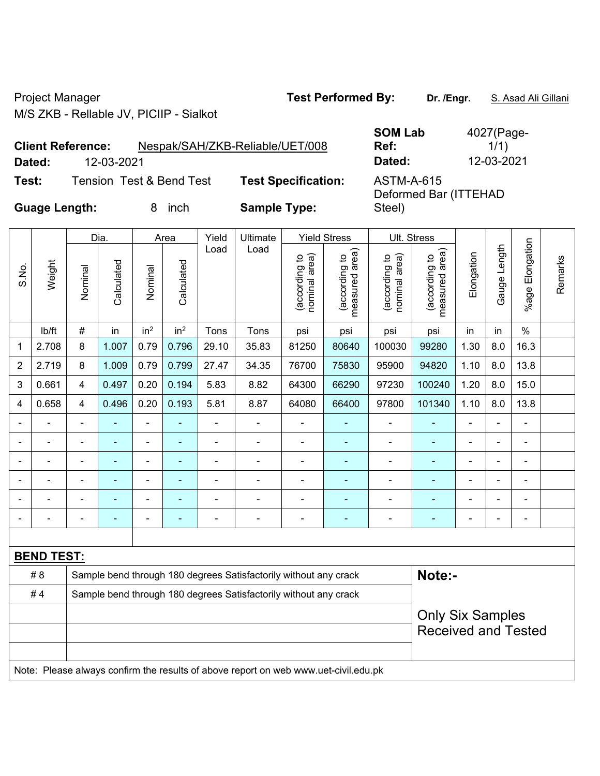Project Manager **Test Performed By:** Dr. /Engr. **S. Asad Ali Gillani** M/S ZKB - Rellable JV, PICIIP - Sialkot

|                      | <b>Client Reference:</b> |                          | Nespak/SAH/ZKB-Reliable/UET/008 | <b>SOM Lab</b><br>Ref:                     | 4027(Page-<br>1/1) |
|----------------------|--------------------------|--------------------------|---------------------------------|--------------------------------------------|--------------------|
| Dated:               | 12-03-2021               |                          |                                 | Dated:                                     | 12-03-2021         |
| Test:                |                          | Tension Test & Bend Test | <b>Test Specification:</b>      | <b>ASTM-A-615</b><br>Deformed Bar (ITTEHAD |                    |
| <b>Guage Length:</b> |                          | inch<br>x                | <b>Sample Type:</b>             | Steel)                                     |                    |

|                          |                   |                          | Dia.           |                          | Area            | Yield          | <b>Ultimate</b>                                                  |                                | <b>Yield Stress</b>             | Ult. Stress                    |                                 |                          |                |                 |         |
|--------------------------|-------------------|--------------------------|----------------|--------------------------|-----------------|----------------|------------------------------------------------------------------|--------------------------------|---------------------------------|--------------------------------|---------------------------------|--------------------------|----------------|-----------------|---------|
| S.No.                    | Weight            | Nominal                  | Calculated     | Nominal                  | Calculated      | Load           | Load                                                             | nominal area)<br>(according to | (according to<br>measured area) | nominal area)<br>(according to | (according to<br>measured area) | Elongation               | Gauge Length   | %age Elongation | Remarks |
|                          | lb/ft             | $\#$                     | in             | in <sup>2</sup>          | in <sup>2</sup> | Tons           | Tons                                                             | psi                            | psi                             | psi                            | psi                             | in                       | in             | $\frac{0}{0}$   |         |
| 1                        | 2.708             | 8                        | 1.007          | 0.79                     | 0.796           | 29.10          | 35.83                                                            | 81250                          | 80640                           | 100030                         | 99280                           | 1.30                     | 8.0            | 16.3            |         |
| $\overline{2}$           | 2.719             | 8                        | 1.009          | 0.79                     | 0.799           | 27.47          | 34.35                                                            | 76700                          | 75830                           | 95900                          | 94820                           | 1.10                     | 8.0            | 13.8            |         |
| 3                        | 0.661             | $\overline{4}$           | 0.497          | 0.20                     | 0.194           | 5.83           | 8.82                                                             | 64300                          | 66290                           | 97230                          | 100240                          | 1.20                     | 8.0            | 15.0            |         |
| 4                        | 0.658             | 4                        | 0.496          | 0.20                     | 0.193           | 5.81           | 8.87                                                             | 64080                          | 66400                           | 97800                          | 101340                          | 1.10                     | 8.0            | 13.8            |         |
| $\overline{\phantom{0}}$ | ۰                 | $\overline{\phantom{0}}$ | $\blacksquare$ | $\overline{\phantom{a}}$ | ۰               | $\overline{a}$ | $\blacksquare$                                                   | $\blacksquare$                 | ٠                               | $\overline{\phantom{0}}$       | ۰                               | $\overline{\phantom{a}}$ | $\blacksquare$ | $\blacksquare$  |         |
|                          |                   | $\blacksquare$           | $\blacksquare$ | $\blacksquare$           | ۰               | $\blacksquare$ | $\blacksquare$                                                   | $\blacksquare$                 | ÷                               | $\blacksquare$                 | ۰                               |                          | $\blacksquare$ | $\blacksquare$  |         |
|                          |                   |                          | -              | ۰                        |                 |                | $\blacksquare$                                                   | $\blacksquare$                 | ۰                               | $\blacksquare$                 | ۰                               |                          |                | $\blacksquare$  |         |
| $\blacksquare$           |                   | $\blacksquare$           | ٠              | $\blacksquare$           | ۰               | $\blacksquare$ | $\blacksquare$                                                   | $\blacksquare$                 | ÷                               | $\blacksquare$                 |                                 | $\blacksquare$           | $\blacksquare$ | $\blacksquare$  |         |
|                          |                   | $\blacksquare$           | ÷,             | $\blacksquare$           |                 |                |                                                                  | Ē,                             | ۰                               | $\blacksquare$                 |                                 |                          | $\blacksquare$ | $\blacksquare$  |         |
|                          |                   |                          | $\blacksquare$ | $\blacksquare$           | ۰               |                | $\blacksquare$                                                   | ÷                              | ÷                               | $\blacksquare$                 | ۰                               |                          |                | $\blacksquare$  |         |
|                          |                   |                          |                |                          |                 |                |                                                                  |                                |                                 |                                |                                 |                          |                |                 |         |
|                          | <b>BEND TEST:</b> |                          |                |                          |                 |                |                                                                  |                                |                                 |                                |                                 |                          |                |                 |         |
|                          | #8                |                          |                |                          |                 |                | Sample bend through 180 degrees Satisfactorily without any crack |                                |                                 |                                | Note:-                          |                          |                |                 |         |
|                          | #4                |                          |                |                          |                 |                | Sample bend through 180 degrees Satisfactorily without any crack |                                |                                 |                                |                                 |                          |                |                 |         |
|                          |                   |                          |                |                          |                 |                |                                                                  |                                |                                 |                                | <b>Only Six Samples</b>         |                          |                |                 |         |
|                          |                   |                          |                |                          |                 |                |                                                                  |                                |                                 |                                | <b>Received and Tested</b>      |                          |                |                 |         |
|                          |                   |                          |                |                          |                 |                |                                                                  |                                |                                 |                                |                                 |                          |                |                 |         |

Note: Please always confirm the results of above report on web www.uet-civil.edu.pk